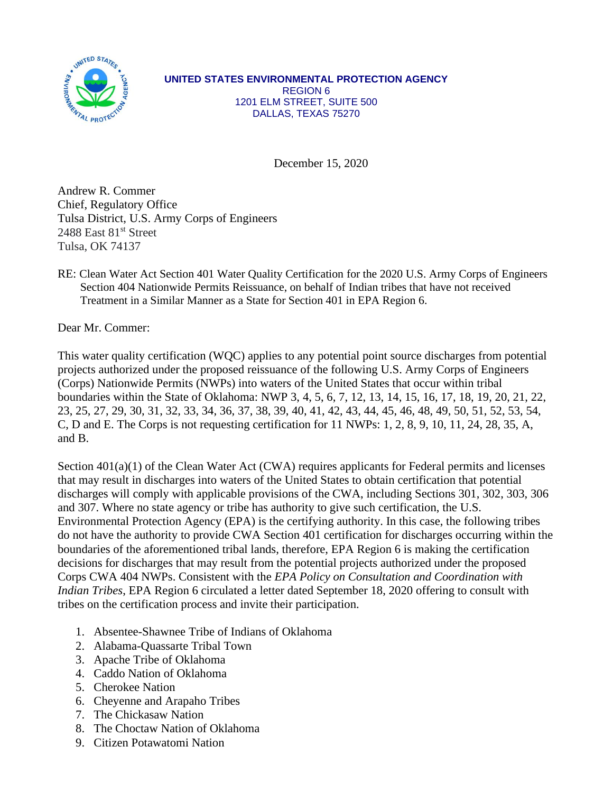

**UNITED STATES ENVIRONMENTAL PROTECTION AGENCY** REGION 6 1201 ELM STREET, SUITE 500 DALLAS, TEXAS 75270

December 15, 2020

Andrew R. Commer Chief, Regulatory Office Tulsa District, U.S. Army Corps of Engineers 2488 East 81<sup>st</sup> Street Tulsa, OK 74137

RE: Clean Water Act Section 401 Water Quality Certification for the 2020 U.S. Army Corps of Engineers Section 404 Nationwide Permits Reissuance, on behalf of Indian tribes that have not received Treatment in a Similar Manner as a State for Section 401 in EPA Region 6.

Dear Mr. Commer:

This water quality certification (WQC) applies to any potential point source discharges from potential projects authorized under the proposed reissuance of the following U.S. Army Corps of Engineers (Corps) Nationwide Permits (NWPs) into waters of the United States that occur within tribal boundaries within the State of Oklahoma: NWP 3, 4, 5, 6, 7, 12, 13, 14, 15, 16, 17, 18, 19, 20, 21, 22, 23, 25, 27, 29, 30, 31, 32, 33, 34, 36, 37, 38, 39, 40, 41, 42, 43, 44, 45, 46, 48, 49, 50, 51, 52, 53, 54, C, D and E. The Corps is not requesting certification for 11 NWPs: 1, 2, 8, 9, 10, 11, 24, 28, 35, A, and B.

Section 401(a)(1) of the Clean Water Act (CWA) requires applicants for Federal permits and licenses that may result in discharges into waters of the United States to obtain certification that potential discharges will comply with applicable provisions of the CWA, including Sections 301, 302, 303, 306 and 307. Where no state agency or tribe has authority to give such certification, the U.S. Environmental Protection Agency (EPA) is the certifying authority. In this case, the following tribes do not have the authority to provide CWA Section 401 certification for discharges occurring within the boundaries of the aforementioned tribal lands, therefore, EPA Region 6 is making the certification decisions for discharges that may result from the potential projects authorized under the proposed Corps CWA 404 NWPs. Consistent with the *EPA Policy on Consultation and Coordination with Indian Tribes*, EPA Region 6 circulated a letter dated September 18, 2020 offering to consult with tribes on the certification process and invite their participation.

- 1. Absentee-Shawnee Tribe of Indians of Oklahoma
- 2. Alabama-Quassarte Tribal Town
- 3. Apache Tribe of Oklahoma
- 4. Caddo Nation of Oklahoma
- 5. Cherokee Nation
- 6. Cheyenne and Arapaho Tribes
- 7. The Chickasaw Nation
- 8. The Choctaw Nation of Oklahoma
- 9. Citizen Potawatomi Nation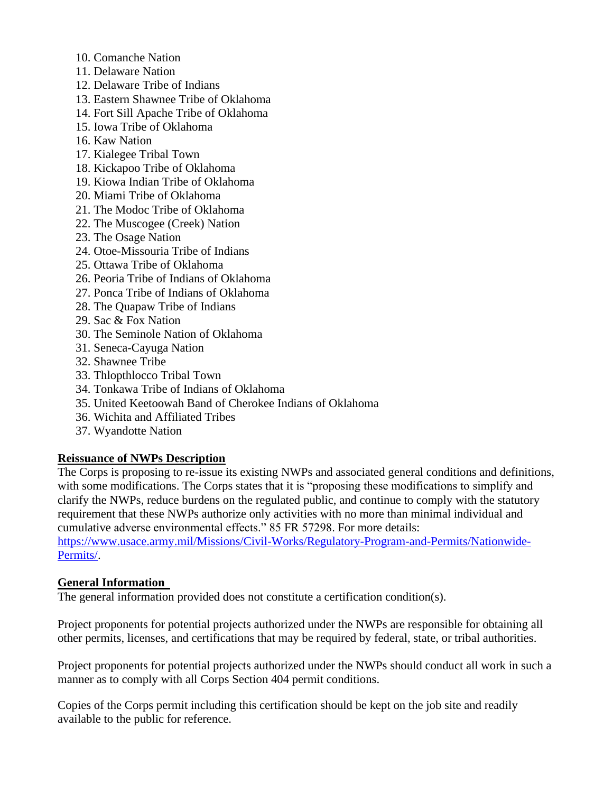- 10. Comanche Nation
- 11. Delaware Nation
- 12. Delaware Tribe of Indians
- 13. Eastern Shawnee Tribe of Oklahoma
- 14. Fort Sill Apache Tribe of Oklahoma
- 15. Iowa Tribe of Oklahoma
- 16. Kaw Nation
- 17. Kialegee Tribal Town
- 18. Kickapoo Tribe of Oklahoma
- 19. Kiowa Indian Tribe of Oklahoma
- 20. Miami Tribe of Oklahoma
- 21. The Modoc Tribe of Oklahoma
- 22. The Muscogee (Creek) Nation
- 23. The Osage Nation
- 24. Otoe-Missouria Tribe of Indians
- 25. Ottawa Tribe of Oklahoma
- 26. Peoria Tribe of Indians of Oklahoma
- 27. Ponca Tribe of Indians of Oklahoma
- 28. The Quapaw Tribe of Indians
- 29. Sac & Fox Nation
- 30. The Seminole Nation of Oklahoma
- 31. Seneca-Cayuga Nation
- 32. Shawnee Tribe
- 33. Thlopthlocco Tribal Town
- 34. Tonkawa Tribe of Indians of Oklahoma
- 35. United Keetoowah Band of Cherokee Indians of Oklahoma
- 36. Wichita and Affiliated Tribes
- 37. Wyandotte Nation

### **Reissuance of NWPs Description**

The Corps is proposing to re-issue its existing NWPs and associated general conditions and definitions, with some modifications. The Corps states that it is "proposing these modifications to simplify and clarify the NWPs, reduce burdens on the regulated public, and continue to comply with the statutory requirement that these NWPs authorize only activities with no more than minimal individual and cumulative adverse environmental effects." 85 FR 57298. For more details:

https://www.usace.army.mil/Missions/Civil-Works/Regulatory-Program-and-Permits/Nationwide-Permits/.

### **General Information**

The general information provided does not constitute a certification condition(s).

Project proponents for potential projects authorized under the NWPs are responsible for obtaining all other permits, licenses, and certifications that may be required by federal, state, or tribal authorities.

Project proponents for potential projects authorized under the NWPs should conduct all work in such a manner as to comply with all Corps Section 404 permit conditions.

Copies of the Corps permit including this certification should be kept on the job site and readily available to the public for reference.